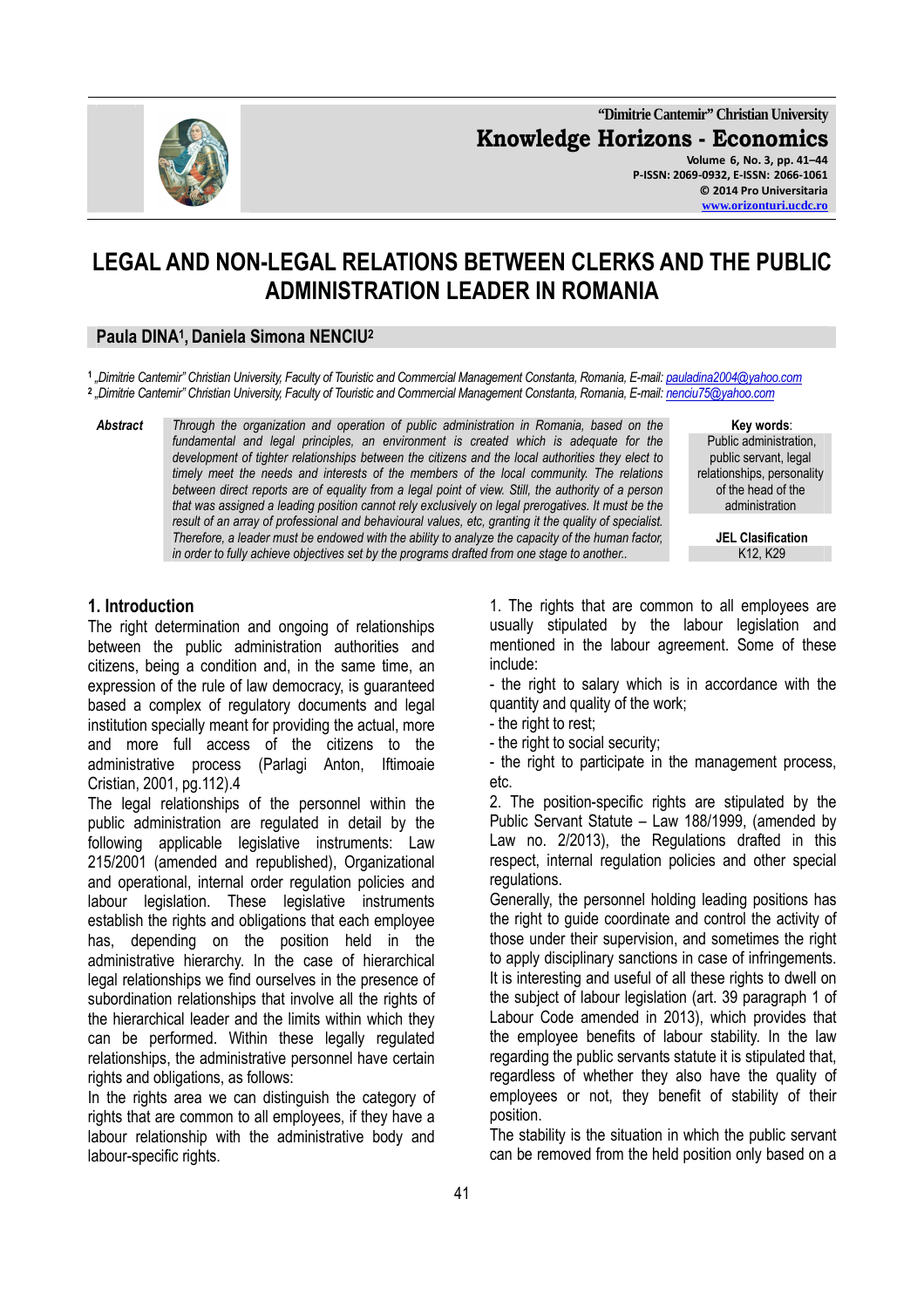

**"Dimitrie Cantemir" Christian University Knowledge Horizons - Economics Volume 6, No. 3, pp. 41–44 P-ISSN: 2069-0932, E-ISSN: 2066-1061 © 2014 Pro Universitaria** 

**www.orizonturi.ucdc.ro**

# **LEGAL AND NON-LEGAL RELATIONS BETWEEN CLERKS AND THE PUBLIC ADMINISTRATION LEADER IN ROMANIA**

# **Paula DINA<sup>1</sup> , Daniela Simona NENCIU<sup>2</sup>**

**1**  *"Dimitrie Cantemir" Christian University, Faculty of Touristic and Commercial Management Constanta, Romania, E-mail: pauladina2004@yahoo.com* **2**  *"Dimitrie Cantemir" Christian University, Faculty of Touristic and Commercial Management Constanta, Romania, E-mail: nenciu75@yahoo.com*

*Abstract Through the organization and operation of public administration in Romania, based on the fundamental and legal principles, an environment is created which is adequate for the development of tighter relationships between the citizens and the local authorities they elect to timely meet the needs and interests of the members of the local community. The relations between direct reports are of equality from a legal point of view. Still, the authority of a person that was assigned a leading position cannot rely exclusively on legal prerogatives. It must be the result of an array of professional and behavioural values, etc, granting it the quality of specialist. Therefore, a leader must be endowed with the ability to analyze the capacity of the human factor, in order to fully achieve objectives set by the programs drafted from one stage to another.* **K12, K29 K12, K29** 

**Key words**:

Public administration, public servant, legal relationships, personality of the head of the administration

**JEL Clasification** 

### **1. Introduction**

The right determination and ongoing of relationships between the public administration authorities and citizens, being a condition and, in the same time, an expression of the rule of law democracy, is guaranteed based a complex of regulatory documents and legal institution specially meant for providing the actual, more and more full access of the citizens to the administrative process (Parlagi Anton, Iftimoaie Cristian, 2001, pg.112).4

The legal relationships of the personnel within the public administration are regulated in detail by the following applicable legislative instruments: Law 215/2001 (amended and republished), Organizational and operational, internal order regulation policies and labour legislation. These legislative instruments establish the rights and obligations that each employee has, depending on the position held in the administrative hierarchy. In the case of hierarchical legal relationships we find ourselves in the presence of subordination relationships that involve all the rights of the hierarchical leader and the limits within which they can be performed. Within these legally regulated relationships, the administrative personnel have certain rights and obligations, as follows:

In the rights area we can distinguish the category of rights that are common to all employees, if they have a labour relationship with the administrative body and labour-specific rights.

1. The rights that are common to all employees are usually stipulated by the labour legislation and mentioned in the labour agreement. Some of these include:

- the right to salary which is in accordance with the quantity and quality of the work;

- the right to rest;
- the right to social security;

- the right to participate in the management process, etc.

2. The position-specific rights are stipulated by the Public Servant Statute – Law 188/1999, (amended by Law no. 2/2013), the Regulations drafted in this respect, internal regulation policies and other special regulations.

Generally, the personnel holding leading positions has the right to guide coordinate and control the activity of those under their supervision, and sometimes the right to apply disciplinary sanctions in case of infringements. It is interesting and useful of all these rights to dwell on the subject of labour legislation (art. 39 paragraph 1 of Labour Code amended in 2013), which provides that the employee benefits of labour stability. In the law regarding the public servants statute it is stipulated that, regardless of whether they also have the quality of employees or not, they benefit of stability of their position.

The stability is the situation in which the public servant can be removed from the held position only based on a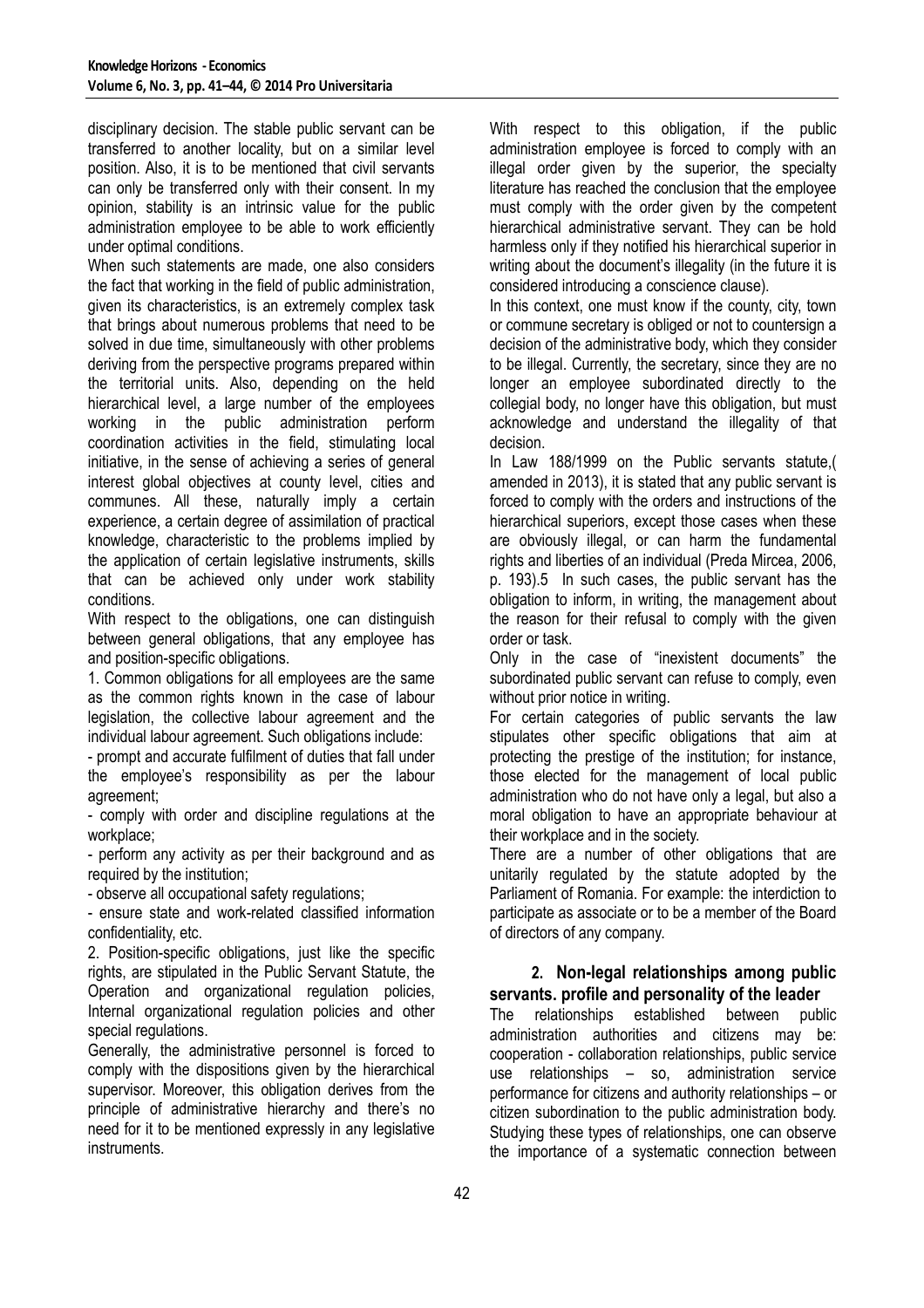disciplinary decision. The stable public servant can be transferred to another locality, but on a similar level position. Also, it is to be mentioned that civil servants can only be transferred only with their consent. In my opinion, stability is an intrinsic value for the public administration employee to be able to work efficiently under optimal conditions.

When such statements are made, one also considers the fact that working in the field of public administration, given its characteristics, is an extremely complex task that brings about numerous problems that need to be solved in due time, simultaneously with other problems deriving from the perspective programs prepared within the territorial units. Also, depending on the held hierarchical level, a large number of the employees working in the public administration perform coordination activities in the field, stimulating local initiative, in the sense of achieving a series of general interest global objectives at county level, cities and communes. All these, naturally imply a certain experience, a certain degree of assimilation of practical knowledge, characteristic to the problems implied by the application of certain legislative instruments, skills that can be achieved only under work stability conditions.

With respect to the obligations, one can distinguish between general obligations, that any employee has and position-specific obligations.

1. Common obligations for all employees are the same as the common rights known in the case of labour legislation, the collective labour agreement and the individual labour agreement. Such obligations include:

- prompt and accurate fulfilment of duties that fall under the employee's responsibility as per the labour agreement;

- comply with order and discipline regulations at the workplace;

- perform any activity as per their background and as required by the institution;

- observe all occupational safety regulations;

- ensure state and work-related classified information confidentiality, etc.

2. Position-specific obligations, just like the specific rights, are stipulated in the Public Servant Statute, the Operation and organizational regulation policies, Internal organizational regulation policies and other special regulations.

Generally, the administrative personnel is forced to comply with the dispositions given by the hierarchical supervisor. Moreover, this obligation derives from the principle of administrative hierarchy and there's no need for it to be mentioned expressly in any legislative instruments.

With respect to this obligation, if the public administration employee is forced to comply with an illegal order given by the superior, the specialty literature has reached the conclusion that the employee must comply with the order given by the competent hierarchical administrative servant. They can be hold harmless only if they notified his hierarchical superior in writing about the document's illegality (in the future it is considered introducing a conscience clause).

In this context, one must know if the county, city, town or commune secretary is obliged or not to countersign a decision of the administrative body, which they consider to be illegal. Currently, the secretary, since they are no longer an employee subordinated directly to the collegial body, no longer have this obligation, but must acknowledge and understand the illegality of that decision.

In Law 188/1999 on the Public servants statute,( amended in 2013), it is stated that any public servant is forced to comply with the orders and instructions of the hierarchical superiors, except those cases when these are obviously illegal, or can harm the fundamental rights and liberties of an individual (Preda Mircea, 2006, p. 193).5 In such cases, the public servant has the obligation to inform, in writing, the management about the reason for their refusal to comply with the given order or task.

Only in the case of "inexistent documents" the subordinated public servant can refuse to comply, even without prior notice in writing.

For certain categories of public servants the law stipulates other specific obligations that aim at protecting the prestige of the institution; for instance, those elected for the management of local public administration who do not have only a legal, but also a moral obligation to have an appropriate behaviour at their workplace and in the society.

There are a number of other obligations that are unitarily regulated by the statute adopted by the Parliament of Romania. For example: the interdiction to participate as associate or to be a member of the Board of directors of any company.

### **2. Non-legal relationships among public servants. profile and personality of the leader**

The relationships established between public administration authorities and citizens may be: cooperation - collaboration relationships, public service use relationships – so, administration service performance for citizens and authority relationships – or citizen subordination to the public administration body. Studying these types of relationships, one can observe the importance of a systematic connection between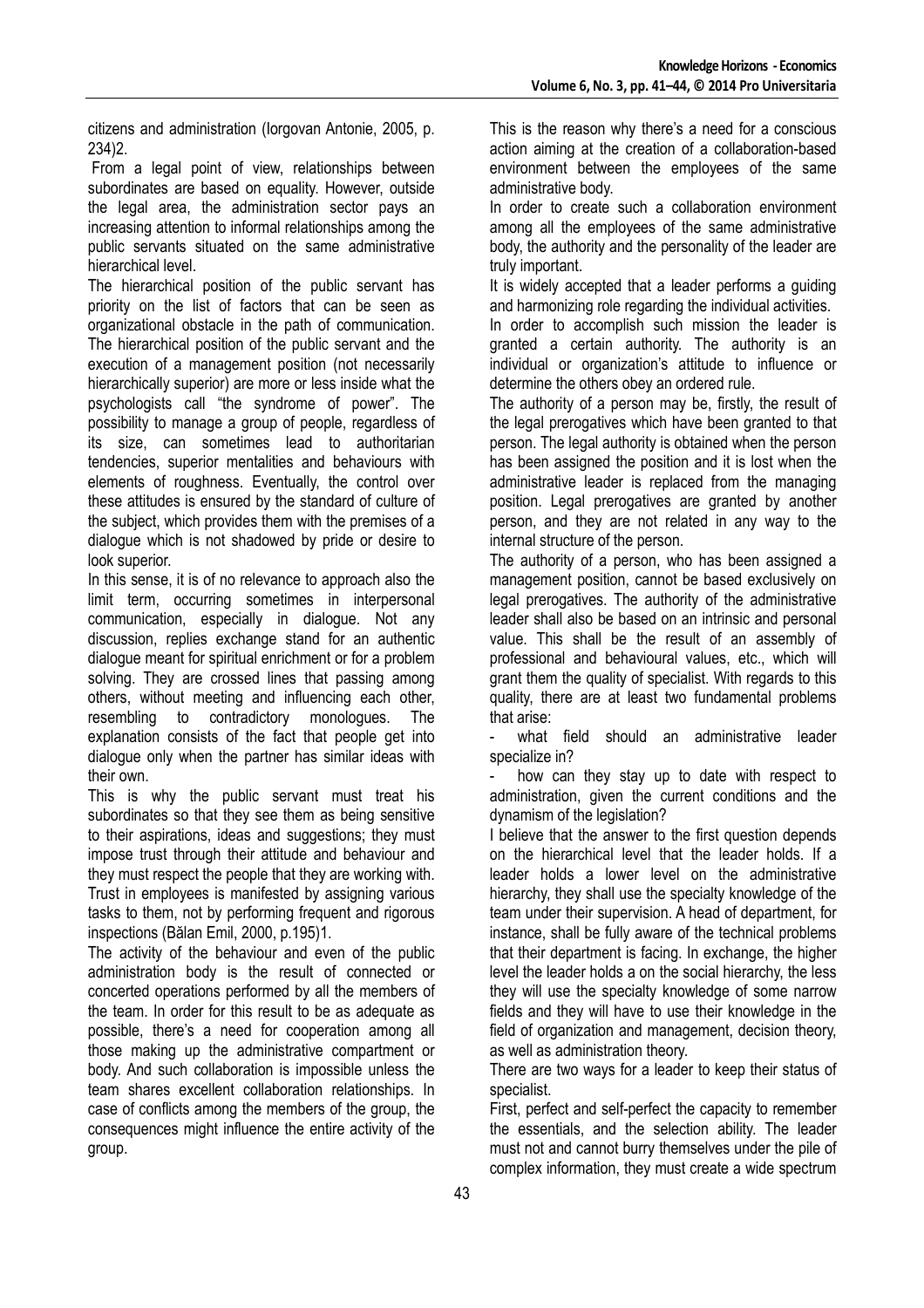citizens and administration (Iorgovan Antonie, 2005, p. 234)2.

 From a legal point of view, relationships between subordinates are based on equality. However, outside the legal area, the administration sector pays an increasing attention to informal relationships among the public servants situated on the same administrative hierarchical level.

The hierarchical position of the public servant has priority on the list of factors that can be seen as organizational obstacle in the path of communication. The hierarchical position of the public servant and the execution of a management position (not necessarily hierarchically superior) are more or less inside what the psychologists call "the syndrome of power". The possibility to manage a group of people, regardless of its size, can sometimes lead to authoritarian tendencies, superior mentalities and behaviours with elements of roughness. Eventually, the control over these attitudes is ensured by the standard of culture of the subject, which provides them with the premises of a dialogue which is not shadowed by pride or desire to look superior.

In this sense, it is of no relevance to approach also the limit term, occurring sometimes in interpersonal communication, especially in dialogue. Not any discussion, replies exchange stand for an authentic dialogue meant for spiritual enrichment or for a problem solving. They are crossed lines that passing among others, without meeting and influencing each other, resembling to contradictory monologues. The explanation consists of the fact that people get into dialogue only when the partner has similar ideas with their own.

This is why the public servant must treat his subordinates so that they see them as being sensitive to their aspirations, ideas and suggestions; they must impose trust through their attitude and behaviour and they must respect the people that they are working with. Trust in employees is manifested by assigning various tasks to them, not by performing frequent and rigorous inspections (Bălan Emil, 2000, p.195)1.

The activity of the behaviour and even of the public administration body is the result of connected or concerted operations performed by all the members of the team. In order for this result to be as adequate as possible, there's a need for cooperation among all those making up the administrative compartment or body. And such collaboration is impossible unless the team shares excellent collaboration relationships. In case of conflicts among the members of the group, the consequences might influence the entire activity of the group.

This is the reason why there's a need for a conscious action aiming at the creation of a collaboration-based environment between the employees of the same administrative body.

In order to create such a collaboration environment among all the employees of the same administrative body, the authority and the personality of the leader are truly important.

It is widely accepted that a leader performs a guiding and harmonizing role regarding the individual activities.

In order to accomplish such mission the leader is granted a certain authority. The authority is an individual or organization's attitude to influence or determine the others obey an ordered rule.

The authority of a person may be, firstly, the result of the legal prerogatives which have been granted to that person. The legal authority is obtained when the person has been assigned the position and it is lost when the administrative leader is replaced from the managing position. Legal prerogatives are granted by another person, and they are not related in any way to the internal structure of the person.

The authority of a person, who has been assigned a management position, cannot be based exclusively on legal prerogatives. The authority of the administrative leader shall also be based on an intrinsic and personal value. This shall be the result of an assembly of professional and behavioural values, etc., which will grant them the quality of specialist. With regards to this quality, there are at least two fundamental problems that arise:

what field should an administrative leader specialize in?

how can they stay up to date with respect to administration, given the current conditions and the dynamism of the legislation?

I believe that the answer to the first question depends on the hierarchical level that the leader holds. If a leader holds a lower level on the administrative hierarchy, they shall use the specialty knowledge of the team under their supervision. A head of department, for instance, shall be fully aware of the technical problems that their department is facing. In exchange, the higher level the leader holds a on the social hierarchy, the less they will use the specialty knowledge of some narrow fields and they will have to use their knowledge in the field of organization and management, decision theory, as well as administration theory.

There are two ways for a leader to keep their status of specialist.

First, perfect and self-perfect the capacity to remember the essentials, and the selection ability. The leader must not and cannot burry themselves under the pile of complex information, they must create a wide spectrum